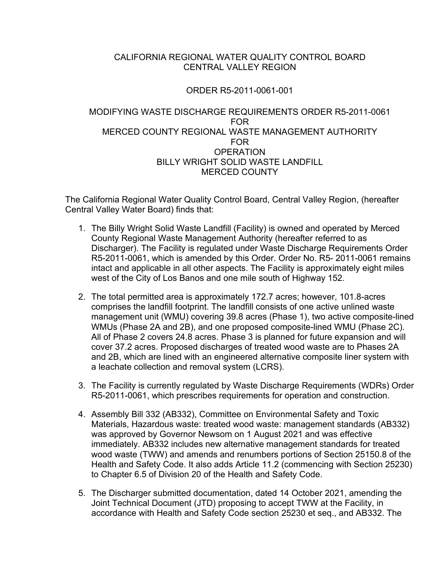## CALIFORNIA REGIONAL WATER QUALITY CONTROL BOARD CENTRAL VALLEY REGION

# ORDER R5-2011-0061-001

#### MODIFYING WASTE DISCHARGE REQUIREMENTS ORDER R5-2011-0061 FOR MERCED COUNTY REGIONAL WASTE MANAGEMENT AUTHORITY FOR **OPERATION** BILLY WRIGHT SOLID WASTE LANDFILL MERCED COUNTY

The California Regional Water Quality Control Board, Central Valley Region, (hereafter Central Valley Water Board) finds that:

- 1. The Billy Wright Solid Waste Landfill (Facility) is owned and operated by Merced County Regional Waste Management Authority (hereafter referred to as Discharger). The Facility is regulated under Waste Discharge Requirements Order R5-2011-0061, which is amended by this Order. Order No. R5- 2011-0061 remains intact and applicable in all other aspects. The Facility is approximately eight miles west of the City of Los Banos and one mile south of Highway 152.
- 2. The total permitted area is approximately 172.7 acres; however, 101.8-acres comprises the landfill footprint. The landfill consists of one active unlined waste management unit (WMU) covering 39.8 acres (Phase 1), two active composite-lined WMUs (Phase 2A and 2B), and one proposed composite-lined WMU (Phase 2C). All of Phase 2 covers 24.8 acres. Phase 3 is planned for future expansion and will cover 37.2 acres. Proposed discharges of treated wood waste are to Phases 2A and 2B, which are lined with an engineered alternative composite liner system with a leachate collection and removal system (LCRS).
- 3. The Facility is currently regulated by Waste Discharge Requirements (WDRs) Order R5-2011-0061, which prescribes requirements for operation and construction.
- 4. Assembly Bill 332 (AB332), Committee on Environmental Safety and Toxic Materials, Hazardous waste: treated wood waste: management standards (AB332) was approved by Governor Newsom on 1 August 2021 and was effective immediately. AB332 includes new alternative management standards for treated wood waste (TWW) and amends and renumbers portions of Section 25150.8 of the Health and Safety Code. It also adds Article 11.2 (commencing with Section 25230) to Chapter 6.5 of Division 20 of the Health and Safety Code.
- 5. The Discharger submitted documentation, dated 14 October 2021, amending the Joint Technical Document (JTD) proposing to accept TWW at the Facility, in accordance with Health and Safety Code section 25230 et seq., and AB332. The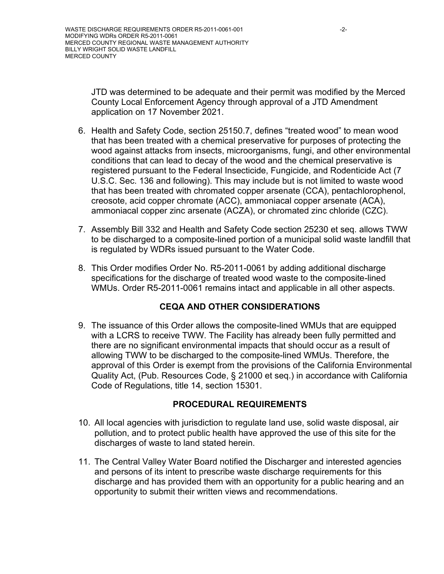JTD was determined to be adequate and their permit was modified by the Merced County Local Enforcement Agency through approval of a JTD Amendment application on 17 November 2021.

- 6. Health and Safety Code, section 25150.7, defines "treated wood" to mean wood that has been treated with a chemical preservative for purposes of protecting the wood against attacks from insects, microorganisms, fungi, and other environmental conditions that can lead to decay of the wood and the chemical preservative is registered pursuant to the Federal Insecticide, Fungicide, and Rodenticide Act (7 U.S.C. Sec. 136 and following). This may include but is not limited to waste wood that has been treated with chromated copper arsenate (CCA), pentachlorophenol, creosote, acid copper chromate (ACC), ammoniacal copper arsenate (ACA), ammoniacal copper zinc arsenate (ACZA), or chromated zinc chloride (CZC).
- 7. Assembly Bill 332 and Health and Safety Code section 25230 et seq. allows TWW to be discharged to a composite-lined portion of a municipal solid waste landfill that is regulated by WDRs issued pursuant to the Water Code.
- 8. This Order modifies Order No. R5-2011-0061 by adding additional discharge specifications for the discharge of treated wood waste to the composite-lined WMUs. Order R5-2011-0061 remains intact and applicable in all other aspects.

# **CEQA AND OTHER CONSIDERATIONS**

9. The issuance of this Order allows the composite-lined WMUs that are equipped with a LCRS to receive TWW. The Facility has already been fully permitted and there are no significant environmental impacts that should occur as a result of allowing TWW to be discharged to the composite-lined WMUs. Therefore, the approval of this Order is exempt from the provisions of the California Environmental Quality Act, (Pub. Resources Code, § 21000 et seq.) in accordance with California Code of Regulations, title 14, section 15301.

# **PROCEDURAL REQUIREMENTS**

- 10. All local agencies with jurisdiction to regulate land use, solid waste disposal, air pollution, and to protect public health have approved the use of this site for the discharges of waste to land stated herein.
- 11. The Central Valley Water Board notified the Discharger and interested agencies and persons of its intent to prescribe waste discharge requirements for this discharge and has provided them with an opportunity for a public hearing and an opportunity to submit their written views and recommendations.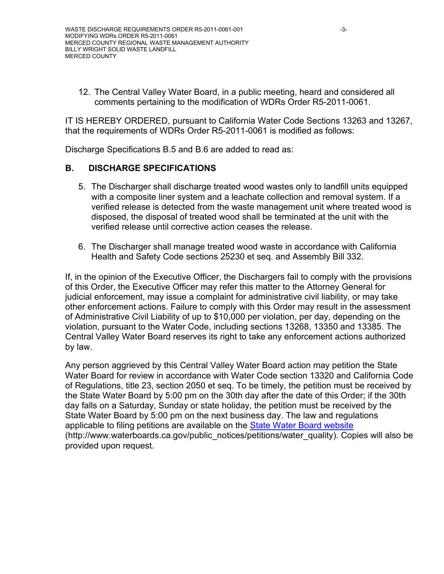12. The Central Valley Water Board, in a public meeting, heard and considered all comments pertaining to the modification of WDRs Order R5-2011-0061.

IT IS HEREBY ORDERED, pursuant to California Water Code Sections 13263 and 13267, that the requirements of WDRs Order R5-2011-0061 is modified as follows:

Discharge Specifications B.5 and B.6 are added to read as:

### **B. DISCHARGE SPECIFICATIONS**

- 5. The Discharger shall discharge treated wood wastes only to landfill units equipped with a composite liner system and a leachate collection and removal system. If a verified release is detected from the waste management unit where treated wood is disposed, the disposal of treated wood shall be terminated at the unit with the verified release until corrective action ceases the release.
- 6. The Discharger shall manage treated wood waste in accordance with California Health and Safety Code sections 25230 et seq. and Assembly Bill 332.

If, in the opinion of the Executive Officer, the Dischargers fail to comply with the provisions of this Order, the Executive Officer may refer this matter to the Attorney General for judicial enforcement, may issue a complaint for administrative civil liability, or may take other enforcement actions. Failure to comply with this Order may result in the assessment of Administrative Civil Liability of up to \$10,000 per violation, per day, depending on the violation, pursuant to the Water Code, including sections 13268, 13350 and 13385. The Central Valley Water Board reserves its right to take any enforcement actions authorized by law.

Any person aggrieved by this Central Valley Water Board action may petition the State Water Board for review in accordance with Water Code section 13320 and California Code of Regulations, title 23, section 2050 et seq. To be timely, the petition must be received by the State Water Board by 5:00 pm on the 30th day after the date of this Order; if the 30th day falls on a Saturday, Sunday or state holiday, the petition must be received by the State Water Board by 5:00 pm on the next business day. The law and regulations applicable to filing petitions are available on the [State Water Board website](http://www.waterboards.ca.gov/public_notices/petitions/water_quality) (http://www.waterboards.ca.gov/public\_notices/petitions/water\_quality). Copies will also be provided upon request.